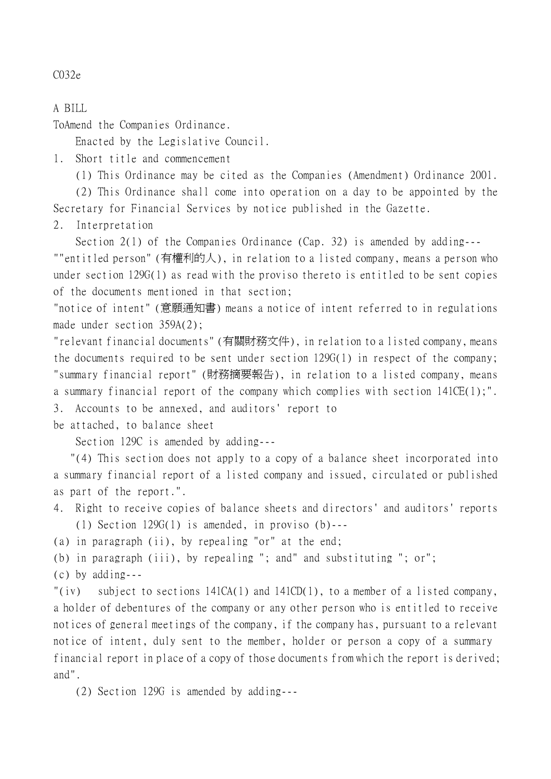C032e

A BILL

ToAmend the Companies Ordinance.

Enacted by the Legislative Council.

1. Short title and commencement

(1) This Ordinance may be cited as the Companies (Amendment) Ordinance 2001.

(2) This Ordinance shall come into operation on a day to be appointed by the Secretary for Financial Services by notice published in the Gazette.

2. Interpretation

Section 2(1) of the Companies Ordinance (Cap. 32) is amended by adding---

""entitled person" (有權利的㆟), in relation to a listed company, means a person who under section 129G(1) as read with the proviso thereto is entitled to be sent copies of the documents mentioned in that section;

"notice of intent" (意願通知書) means a notice of intent referred to in regulations made under section 359A(2);

"relevant financial documents" (有關財務文件), in relation to a listed company, means the documents required to be sent under section 129G(1) in respect of the company; "summary financial report" (財務摘要報告), in relation to a listed company, means a summary financial report of the company which complies with section 141CE(1);". 3. Accounts to be annexed, and auditors' report to

be attached, to balance sheet

Section 129C is amended by adding---

 "(4) This section does not apply to a copy of a balance sheet incorporated into a summary financial report of a listed company and issued, circulated or published as part of the report.".

4. Right to receive copies of balance sheets and directors' and auditors' reports

(1) Section 129G(1) is amended, in proviso (b)---

(a) in paragraph (ii), by repealing "or" at the end;

(b) in paragraph (iii), by repealing "; and" and substituting "; or";

(c) by adding---

"(iv) subject to sections  $141CA(1)$  and  $141CD(1)$ , to a member of a listed company, a holder of debentures of the company or any other person who is entitled to receive notices of general meetings of the company, if the company has, pursuant to a relevant notice of intent, duly sent to the member, holder or person a copy of a summary financial report in place of a copy of those documents from which the report is derived; and".

(2) Section 129G is amended by adding---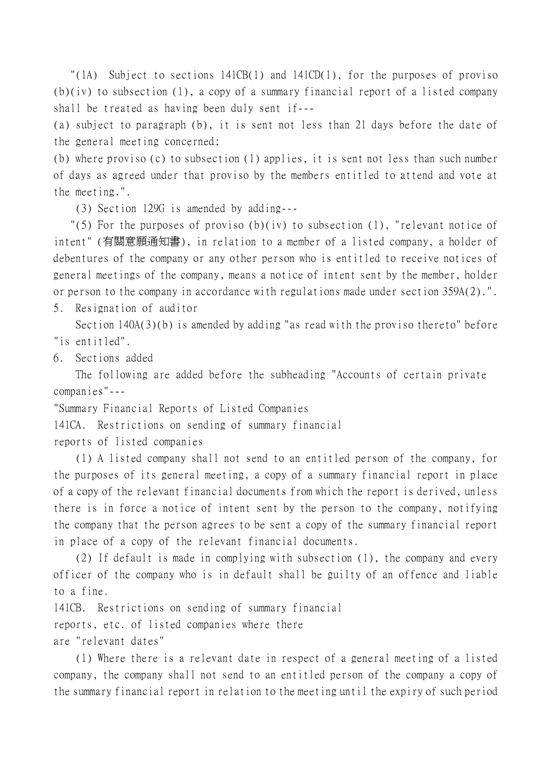"(1A) Subject to sections 141CB(1) and 141CD(1), for the purposes of proviso (b)(iv) to subsection (1), a copy of a summary financial report of a listed company shall be treated as having been duly sent if---

(a) subject to paragraph (b), it is sent not less than 21 days before the date of the general meeting concerned;

(b) where proviso (c) to subsection (1) applies, it is sent not less than such number of days as agreed under that proviso by the members entitled to attend and vote at the meeting.".

(3) Section 129G is amended by adding---

"(5) For the purposes of proviso (b)(iv) to subsection (1), "relevant notice of intent" (有關意願通知書), in relation to a member of a listed company, a holder of debentures of the company or any other person who is entitled to receive notices of general meetings of the company, means a notice of intent sent by the member, holder or person to the company in accordance with regulations made under section 359A(2).".

5. Resignation of auditor

Section 140A(3)(b) is amended by adding "as read with the proviso thereto" before "is entitled".

6. Sections added

The following are added before the subheading "Accounts of certain private companies"---

"Summary Financial Reports of Listed Companies

141CA. Restrictions on sending of summary financial

reports of listed companies

(1) A listed company shall not send to an entitled person of the company, for the purposes of its general meeting, a copy of a summary financial report in place of a copy of the relevant financial documents from which the report is derived, unless there is in force a notice of intent sent by the person to the company, notifying the company that the person agrees to be sent a copy of the summary financial report in place of a copy of the relevant financial documents.

(2) If default is made in complying with subsection (1), the company and every officer of the company who is in default shall be guilty of an offence and liable to a fine.

141CB. Restrictions on sending of summary financial reports, etc. of listed companies where there are "relevant dates"

(1) Where there is a relevant date in respect of a general meeting of a listed company, the company shall not send to an entitled person of the company a copy of the summary financial report in relation to the meeting until the expiry of such period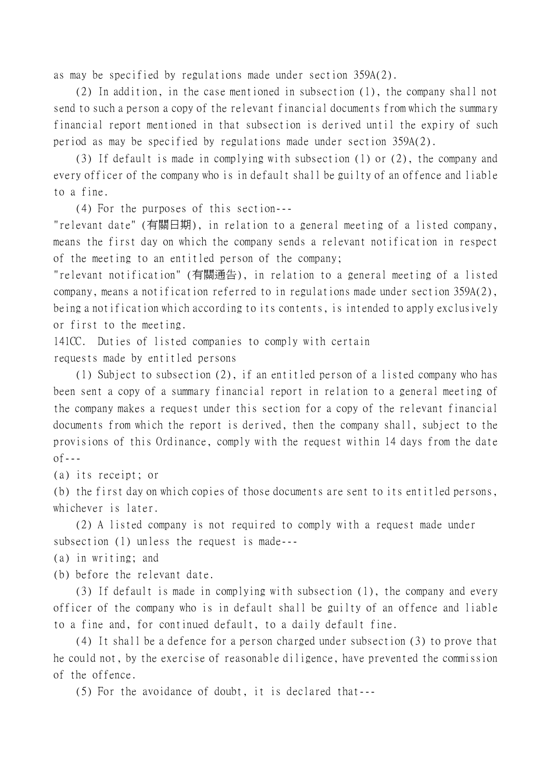as may be specified by regulations made under section 359A(2).

(2) In addition, in the case mentioned in subsection (1), the company shall not send to such a person a copy of the relevant financial documents from which the summary financial report mentioned in that subsection is derived until the expiry of such period as may be specified by regulations made under section 359A(2).

(3) If default is made in complying with subsection (1) or (2), the company and every officer of the company who is in default shall be guilty of an offence and liable to a fine.

(4) For the purposes of this section---

"relevant date" (有關日期), in relation to a general meeting of a listed company, means the first day on which the company sends a relevant notification in respect of the meeting to an entitled person of the company;

"relevant notification" (有關通告), in relation to a general meeting of a listed company, means a notification referred to in regulations made under section 359A(2), being a notification which according to its contents, is intended to apply exclusively or first to the meeting.

141CC. Duties of listed companies to comply with certain requests made by entitled persons

(1) Subject to subsection (2), if an entitled person of a listed company who has been sent a copy of a summary financial report in relation to a general meeting of the company makes a request under this section for a copy of the relevant financial documents from which the report is derived, then the company shall, subject to the provisions of this Ordinance, comply with the request within 14 days from the date  $of --$ 

(a) its receipt; or

(b) the first day on which copies of those documents are sent to its entitled persons, whichever is later.

(2) A listed company is not required to comply with a request made under subsection (1) unless the request is made---

(a) in writing; and

(b) before the relevant date.

(3) If default is made in complying with subsection (1), the company and every officer of the company who is in default shall be guilty of an offence and liable to a fine and, for continued default, to a daily default fine.

(4) It shall be a defence for a person charged under subsection (3) to prove that he could not, by the exercise of reasonable diligence, have prevented the commission of the offence.

(5) For the avoidance of doubt, it is declared that---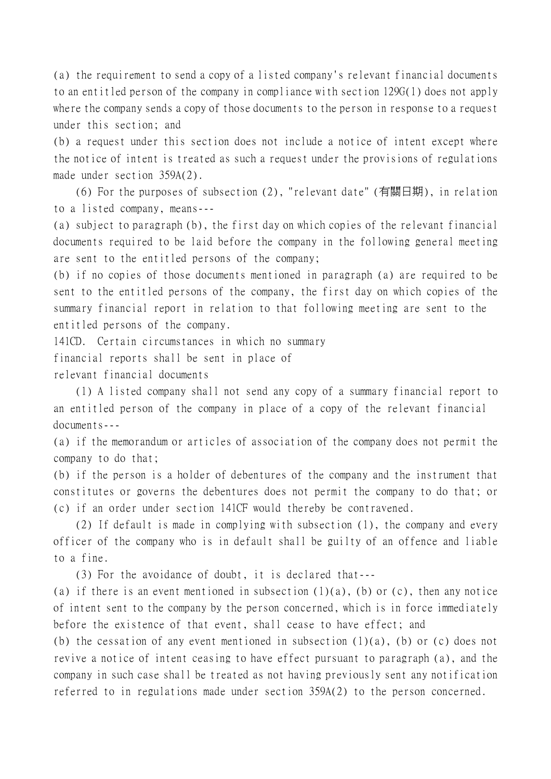(a) the requirement to send a copy of a listed company's relevant financial documents to an entitled person of the company in compliance with section 129G(1) does not apply where the company sends a copy of those documents to the person in response to a request under this section; and

(b) a request under this section does not include a notice of intent except where the notice of intent is treated as such a request under the provisions of regulations made under section 359A(2).

(6) For the purposes of subsection (2), "relevant date" (有關日期), in relation to a listed company, means---

(a) subject to paragraph (b), the first day on which copies of the relevant financial documents required to be laid before the company in the following general meeting are sent to the entitled persons of the company;

(b) if no copies of those documents mentioned in paragraph (a) are required to be sent to the entitled persons of the company, the first day on which copies of the summary financial report in relation to that following meeting are sent to the entitled persons of the company.

141CD. Certain circumstances in which no summary

financial reports shall be sent in place of

relevant financial documents

(1) A listed company shall not send any copy of a summary financial report to an entitled person of the company in place of a copy of the relevant financial documents---

(a) if the memorandum or articles of association of the company does not permit the company to do that;

(b) if the person is a holder of debentures of the company and the instrument that constitutes or governs the debentures does not permit the company to do that; or (c) if an order under section 141CF would thereby be contravened.

(2) If default is made in complying with subsection (1), the company and every officer of the company who is in default shall be guilty of an offence and liable to a fine.

(3) For the avoidance of doubt, it is declared that---

(a) if there is an event mentioned in subsection  $(1)(a)$ ,  $(b)$  or  $(c)$ , then any notice of intent sent to the company by the person concerned, which is in force immediately before the existence of that event, shall cease to have effect; and

(b) the cessation of any event mentioned in subsection  $(1)(a)$ , (b) or (c) does not revive a notice of intent ceasing to have effect pursuant to paragraph (a), and the company in such case shall be treated as not having previously sent any notification referred to in regulations made under section 359A(2) to the person concerned.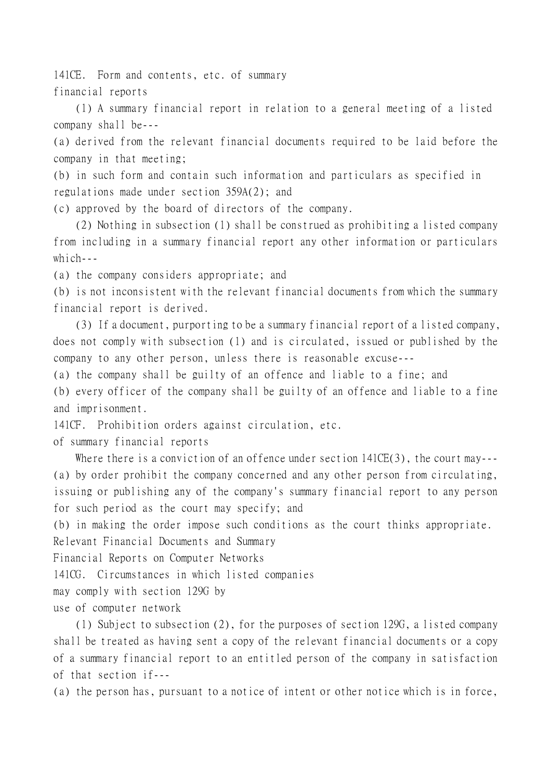141CE. Form and contents, etc. of summary financial reports

(1) A summary financial report in relation to a general meeting of a listed company shall be---

(a) derived from the relevant financial documents required to be laid before the company in that meeting;

(b) in such form and contain such information and particulars as specified in regulations made under section 359A(2); and

(c) approved by the board of directors of the company.

(2) Nothing in subsection (1) shall be construed as prohibiting a listed company from including in a summary financial report any other information or particulars which  $-$ 

(a) the company considers appropriate; and

(b) is not inconsistent with the relevant financial documents from which the summary financial report is derived.

(3) If a document, purporting to be a summary financial report of a listed company, does not comply with subsection (1) and is circulated, issued or published by the company to any other person, unless there is reasonable excuse---

(a) the company shall be guilty of an offence and liable to a fine; and

(b) every officer of the company shall be guilty of an offence and liable to a fine and imprisonment.

141CF. Prohibition orders against circulation, etc.

of summary financial reports

Where there is a conviction of an offence under section  $141CE(3)$ , the court may---(a) by order prohibit the company concerned and any other person from circulating, issuing or publishing any of the company's summary financial report to any person for such period as the court may specify; and

(b) in making the order impose such conditions as the court thinks appropriate.

Relevant Financial Documents and Summary

Financial Reports on Computer Networks

141CG. Circumstances in which listed companies

may comply with section 129G by

use of computer network

(1) Subject to subsection (2), for the purposes of section 129G, a listed company shall be treated as having sent a copy of the relevant financial documents or a copy of a summary financial report to an entitled person of the company in satisfaction of that section if---

(a) the person has, pursuant to a notice of intent or other notice which is in force,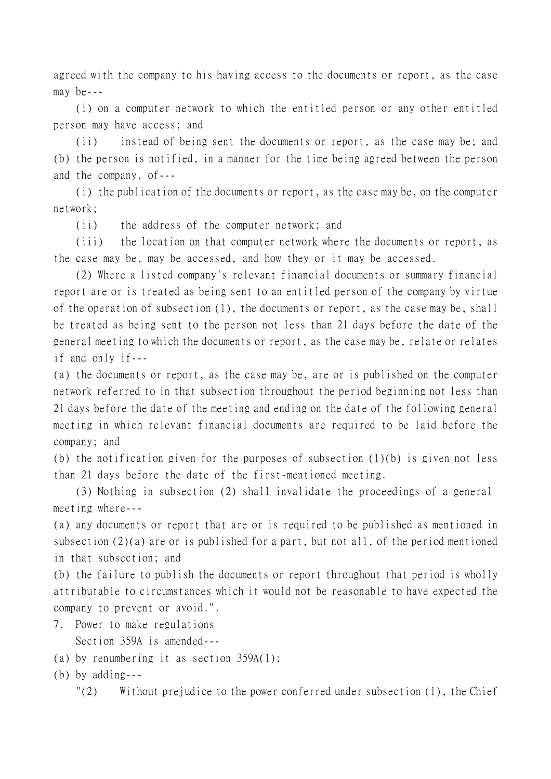agreed with the company to his having access to the documents or report, as the case may be---

(i) on a computer network to which the entitled person or any other entitled person may have access; and

(ii) instead of being sent the documents or report, as the case may be; and (b) the person is notified, in a manner for the time being agreed between the person and the company, of---

(i) the publication of the documents or report, as the case may be, on the computer network;

(ii) the address of the computer network; and

(iii) the location on that computer network where the documents or report, as the case may be, may be accessed, and how they or it may be accessed.

(2) Where a listed company's relevant financial documents or summary financial report are or is treated as being sent to an entitled person of the company by virtue of the operation of subsection (1), the documents or report, as the case may be, shall be treated as being sent to the person not less than 21 days before the date of the general meeting to which the documents or report, as the case may be, relate or relates if and only if---

(a) the documents or report, as the case may be, are or is published on the computer network referred to in that subsection throughout the period beginning not less than 21 days before the date of the meeting and ending on the date of the following general meeting in which relevant financial documents are required to be laid before the company; and

(b) the notification given for the purposes of subsection (1)(b) is given not less than 21 days before the date of the first-mentioned meeting.

(3) Nothing in subsection (2) shall invalidate the proceedings of a general meeting where---

(a) any documents or report that are or is required to be published as mentioned in subsection (2)(a) are or is published for a part, but not all, of the period mentioned in that subsection; and

(b) the failure to publish the documents or report throughout that period is wholly attributable to circumstances which it would not be reasonable to have expected the company to prevent or avoid.".

- 7. Power to make regulations Section 359A is amended---
- (a) by renumbering it as section 359A(1);
- (b) by adding---

 $\lceil (2) \rceil$  Without prejudice to the power conferred under subsection (1), the Chief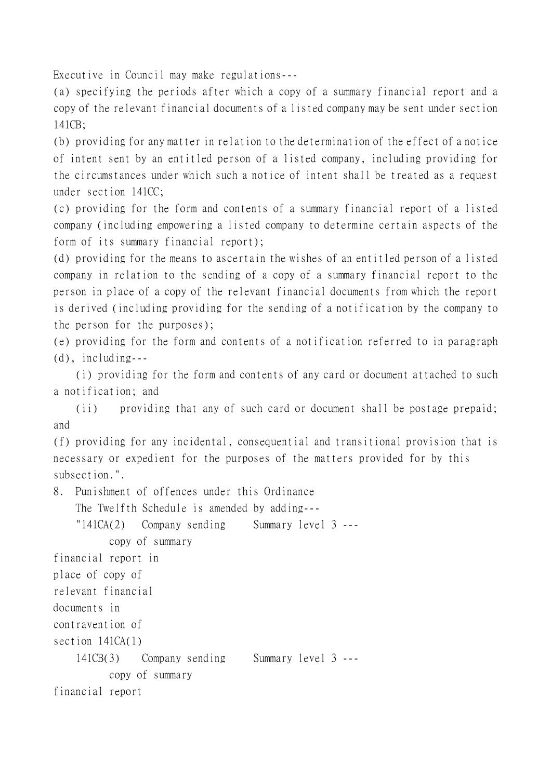Executive in Council may make regulations---

(a) specifying the periods after which a copy of a summary financial report and a copy of the relevant financial documents of a listed company may be sent under section 141CB;

(b) providing for any matter in relation to the determination of the effect of a notice of intent sent by an entitled person of a listed company, including providing for the circumstances under which such a notice of intent shall be treated as a request under section 141CC;

(c) providing for the form and contents of a summary financial report of a listed company (including empowering a listed company to determine certain aspects of the form of its summary financial report);

(d) providing for the means to ascertain the wishes of an entitled person of a listed company in relation to the sending of a copy of a summary financial report to the person in place of a copy of the relevant financial documents from which the report is derived (including providing for the sending of a notification by the company to the person for the purposes);

(e) providing for the form and contents of a notification referred to in paragraph (d), including---

(i) providing for the form and contents of any card or document attached to such a notification; and

(ii) providing that any of such card or document shall be postage prepaid; and

(f) providing for any incidental, consequential and transitional provision that is necessary or expedient for the purposes of the matters provided for by this subsection.".

8. Punishment of offences under this Ordinance

The Twelfth Schedule is amended by adding---

"141CA(2) Company sending Summary level 3 -- copy of summary financial report in

place of copy of

relevant financial

documents in

contravention of

section 141CA(1)

141CB(3) Company sending Summary level 3 ---

copy of summary

financial report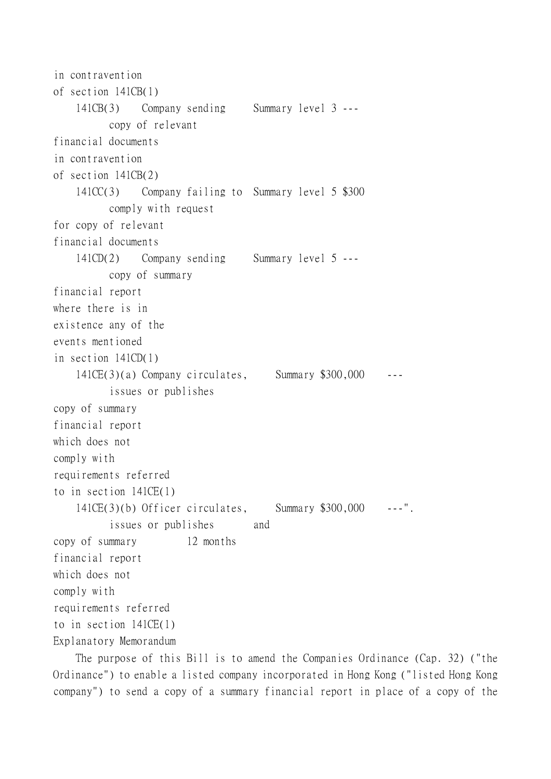```
in contravention
of section 141CB(1)
    141CB(3) Company sending Summary level 3 ---
          copy of relevant
financial documents
in contravention
of section 141CB(2)
    141CC(3) Company failing to Summary level 5 $300
          comply with request
for copy of relevant
financial documents
    141CD(2) Company sending Summary level 5 ---
          copy of summary
financial report
where there is in
existence any of the
events mentioned
in section 141CD(1)
    141CE(3)(a) Company circulates, Summary $300,000 ---
          issues or publishes
copy of summary
financial report
which does not
comply with
requirements referred
to in section 141CE(1)
    141CE(3)(b) Officer circulates, Summary $300,000 ---".
          issues or publishes and
copy of summary 12 months
financial report
which does not
comply with
requirements referred
to in section 141CE(1)
Explanatory Memorandum
```
The purpose of this Bill is to amend the Companies Ordinance (Cap. 32) ("the Ordinance") to enable a listed company incorporated in Hong Kong ("listed Hong Kong company") to send a copy of a summary financial report in place of a copy of the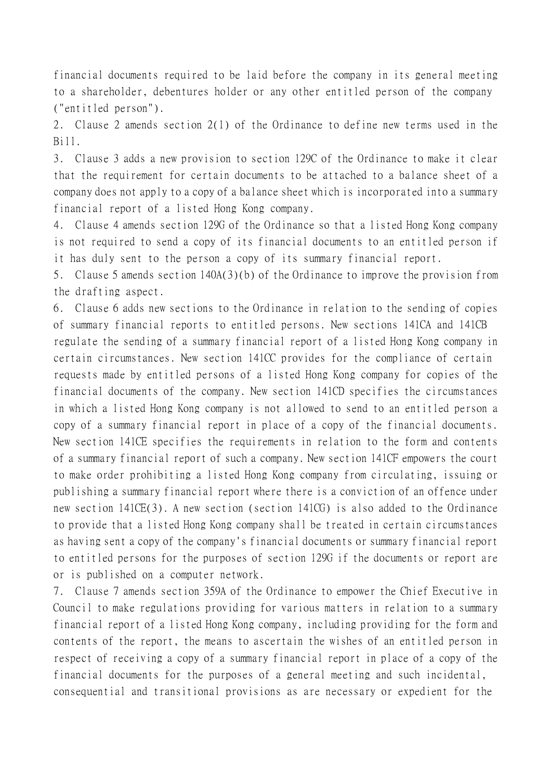financial documents required to be laid before the company in its general meeting to a shareholder, debentures holder or any other entitled person of the company ("entitled person").

2. Clause 2 amends section 2(1) of the Ordinance to define new terms used in the Bill.

3. Clause 3 adds a new provision to section 129C of the Ordinance to make it clear that the requirement for certain documents to be attached to a balance sheet of a company does not apply to a copy of a balance sheet which is incorporated into a summary financial report of a listed Hong Kong company.

4. Clause 4 amends section 129G of the Ordinance so that a listed Hong Kong company is not required to send a copy of its financial documents to an entitled person if it has duly sent to the person a copy of its summary financial report.

5. Clause 5 amends section 140A(3)(b) of the Ordinance to improve the provision from the drafting aspect.

6. Clause 6 adds new sections to the Ordinance in relation to the sending of copies of summary financial reports to entitled persons. New sections 141CA and 141CB regulate the sending of a summary financial report of a listed Hong Kong company in certain circumstances. New section 141CC provides for the compliance of certain requests made by entitled persons of a listed Hong Kong company for copies of the financial documents of the company. New section 141CD specifies the circumstances in which a listed Hong Kong company is not allowed to send to an entitled person a copy of a summary financial report in place of a copy of the financial documents. New section 141CE specifies the requirements in relation to the form and contents of a summary financial report of such a company. New section 141CF empowers the court to make order prohibiting a listed Hong Kong company from circulating, issuing or publishing a summary financial report where there is a conviction of an offence under new section 141CE(3). A new section (section 141CG) is also added to the Ordinance to provide that a listed Hong Kong company shall be treated in certain circumstances as having sent a copy of the company's financial documents or summary financial report to entitled persons for the purposes of section 129G if the documents or report are or is published on a computer network.

7. Clause 7 amends section 359A of the Ordinance to empower the Chief Executive in Council to make regulations providing for various matters in relation to a summary financial report of a listed Hong Kong company, including providing for the form and contents of the report, the means to ascertain the wishes of an entitled person in respect of receiving a copy of a summary financial report in place of a copy of the financial documents for the purposes of a general meeting and such incidental, consequential and transitional provisions as are necessary or expedient for the